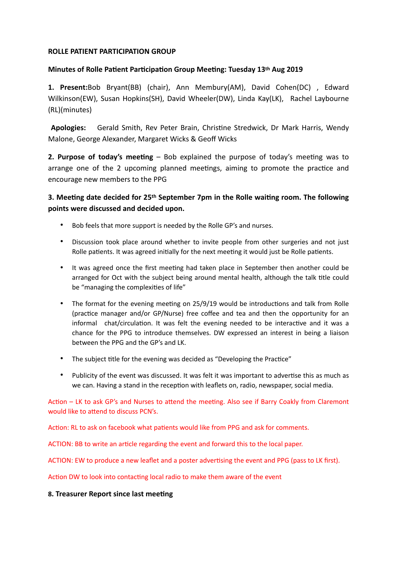## **ROLLE PATIENT PARTICIPATION GROUP**

## **Minutes of Rolle Patient Participation Group Meeting: Tuesday 13th Aug 2019**

**1. Present:**Bob Bryant(BB) (chair), Ann Membury(AM), David Cohen(DC) , Edward Wilkinson(EW), Susan Hopkins(SH), David Wheeler(DW), Linda Kay(LK), Rachel Laybourne (RL)(minutes)

Apologies: Gerald Smith, Rev Peter Brain, Christine Stredwick, Dr Mark Harris, Wendy Malone, George Alexander, Margaret Wicks & Geoff Wicks

**2. Purpose of today's meeting** – Bob explained the purpose of today's meeting was to arrange one of the 2 upcoming planned meetings, aiming to promote the practice and encourage new members to the PPG

**3. Meeting date decided for 25<sup>th</sup> September 7pm in the Rolle waiting room. The following points were discussed and decided upon.** 

- Bob feels that more support is needed by the Rolle GP's and nurses.
- Discussion took place around whether to invite people from other surgeries and not just Rolle patients. It was agreed initially for the next meeting it would just be Rolle patients.
- It was agreed once the first meeting had taken place in September then another could be arranged for Oct with the subject being around mental health, although the talk title could be "managing the complexities of life"
- The format for the evening meeting on 25/9/19 would be introductions and talk from Rolle (practice manager and/or GP/Nurse) free coffee and tea and then the opportunity for an informal chat/circulation. It was felt the evening needed to be interactive and it was a chance for the PPG to introduce themselves. DW expressed an interest in being a liaison between the PPG and the GP's and LK.
- The subject title for the evening was decided as "Developing the Practice"
- Publicity of the event was discussed. It was felt it was important to advertise this as much as we can. Having a stand in the reception with leaflets on, radio, newspaper, social media.

Action – LK to ask GP's and Nurses to attend the meeting. Also see if Barry Coakly from Claremont would like to attend to discuss PCN's.

Action: RL to ask on facebook what patients would like from PPG and ask for comments.

ACTION: BB to write an article regarding the event and forward this to the local paper.

ACTION: EW to produce a new leaflet and a poster advertising the event and PPG (pass to LK first).

Action DW to look into contacting local radio to make them aware of the event

# **8. Treasurer Report since last meeting**